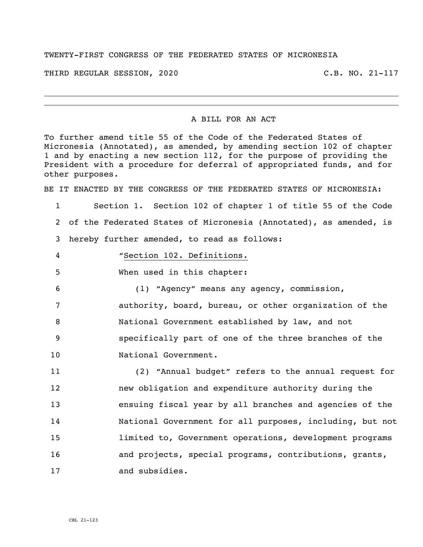## TWENTY-FIRST CONGRESS OF THE FEDERATED STATES OF MICRONESIA

THIRD REGULAR SESSION, 2020 C.B. NO. 21-117

i<br>L

## A BILL FOR AN ACT

To further amend title 55 of the Code of the Federated States of Micronesia (Annotated), as amended, by amending section 102 of chapter 1 and by enacting a new section 112, for the purpose of providing the President with a procedure for deferral of appropriated funds, and for other purposes.

BE IT ENACTED BY THE CONGRESS OF THE FEDERATED STATES OF MICRONESIA:

1 Section 1. Section 102 of chapter 1 of title 55 of the Code 2 of the Federated States of Micronesia (Annotated), as amended, is 3 hereby further amended, to read as follows:

- 
- 4 "Section 102. Definitions.
- 5 When used in this chapter:

 (1) "Agency" means any agency, commission, authority, board, bureau, or other organization of the National Government established by law, and not specifically part of one of the three branches of the 10 National Government.

 (2) "Annual budget" refers to the annual request for new obligation and expenditure authority during the ensuing fiscal year by all branches and agencies of the National Government for all purposes, including, but not limited to, Government operations, development programs **and projects, special programs, contributions, grants,** 17 and subsidies.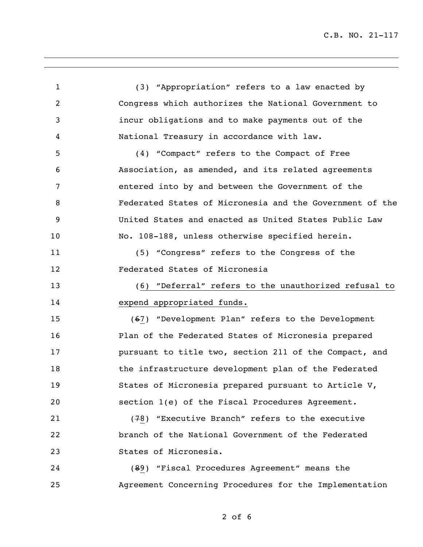C.B. NO. 21-117

 (3) "Appropriation" refers to a law enacted by Congress which authorizes the National Government to incur obligations and to make payments out of the National Treasury in accordance with law. (4) "Compact" refers to the Compact of Free Association, as amended, and its related agreements entered into by and between the Government of the Federated States of Micronesia and the Government of the United States and enacted as United States Public Law No. 108-188, unless otherwise specified herein. (5) "Congress" refers to the Congress of the Federated States of Micronesia (6) "Deferral" refers to the unauthorized refusal to expend appropriated funds. (67) "Development Plan" refers to the Development Plan of the Federated States of Micronesia prepared **pursuant to title two, section 211 of the Compact, and** 18 the infrastructure development plan of the Federated States of Micronesia prepared pursuant to Article V, section 1(e) of the Fiscal Procedures Agreement. (78) "Executive Branch" refers to the executive branch of the National Government of the Federated States of Micronesia. (89) "Fiscal Procedures Agreement" means the Agreement Concerning Procedures for the Implementation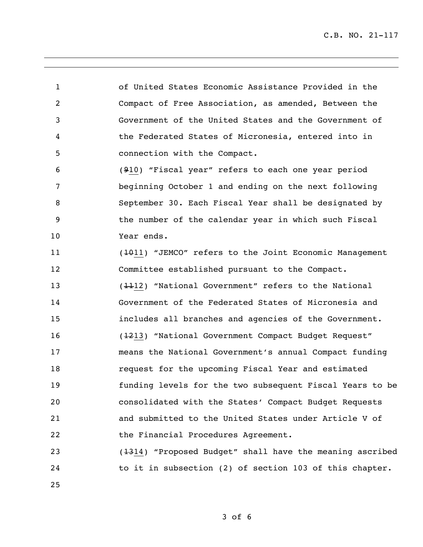C.B. NO. 21-117

 of United States Economic Assistance Provided in the Compact of Free Association, as amended, Between the Government of the United States and the Government of the Federated States of Micronesia, entered into in connection with the Compact.

 (910) "Fiscal year" refers to each one year period beginning October 1 and ending on the next following September 30. Each Fiscal Year shall be designated by the number of the calendar year in which such Fiscal Year ends.

 (1011) "JEMCO" refers to the Joint Economic Management Committee established pursuant to the Compact. (1112) "National Government" refers to the National Government of the Federated States of Micronesia and includes all branches and agencies of the Government. (1213) "National Government Compact Budget Request" means the National Government's annual Compact funding request for the upcoming Fiscal Year and estimated funding levels for the two subsequent Fiscal Years to be consolidated with the States' Compact Budget Requests and submitted to the United States under Article V of the Financial Procedures Agreement.

 (1314) "Proposed Budget" shall have the meaning ascribed 24 to it in subsection (2) of section 103 of this chapter.

of 6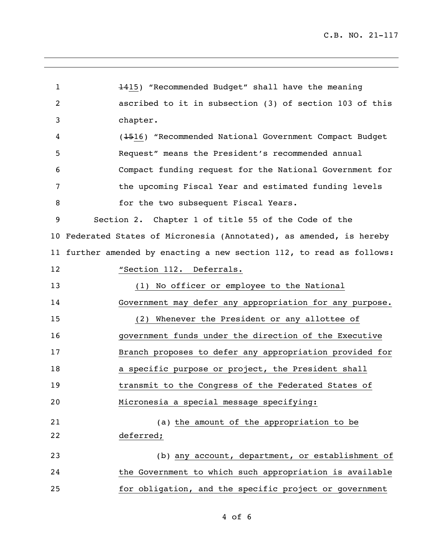1415) "Recommended Budget" shall have the meaning ascribed to it in subsection (3) of section 103 of this chapter. (1516) "Recommended National Government Compact Budget Request" means the President's recommended annual Compact funding request for the National Government for the upcoming Fiscal Year and estimated funding levels 8 for the two subsequent Fiscal Years. Section 2. Chapter 1 of title 55 of the Code of the Federated States of Micronesia (Annotated), as amended, is hereby further amended by enacting a new section 112, to read as follows: **"Section 112. Deferrals.**  (1) No officer or employee to the National Government may defer any appropriation for any purpose. (2) Whenever the President or any allottee of government funds under the direction of the Executive Branch proposes to defer any appropriation provided for 18 a specific purpose or project, the President shall transmit to the Congress of the Federated States of Micronesia a special message specifying: (a) the amount of the appropriation to be deferred; (b) any account, department, or establishment of the Government to which such appropriation is available for obligation, and the specific project or government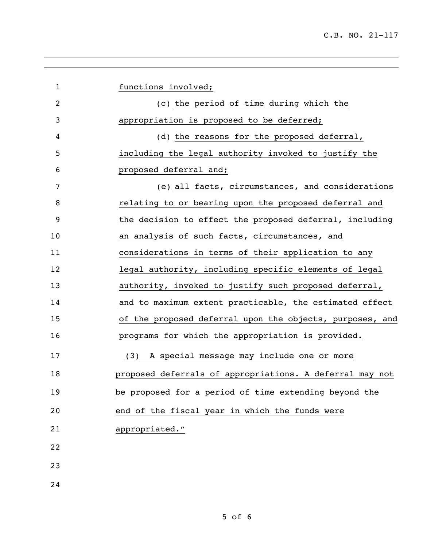| $\mathbf{1}$   | functions involved;                                      |
|----------------|----------------------------------------------------------|
| $\overline{2}$ | (c) the period of time during which the                  |
| 3              | appropriation is proposed to be deferred;                |
| 4              | (d) the reasons for the proposed deferral,               |
| 5              | including the legal authority invoked to justify the     |
| 6              | proposed deferral and;                                   |
| 7              | (e) all facts, circumstances, and considerations         |
| 8              | relating to or bearing upon the proposed deferral and    |
| 9              | the decision to effect the proposed deferral, including  |
| 10             | an analysis of such facts, circumstances, and            |
| 11             | considerations in terms of their application to any      |
| 12             | legal authority, including specific elements of legal    |
| 13             | authority, invoked to justify such proposed deferral,    |
| 14             | and to maximum extent practicable, the estimated effect  |
| 15             | of the proposed deferral upon the objects, purposes, and |
| 16             | programs for which the appropriation is provided.        |
| 17             | (3) A special message may include one or more            |
| 18             | proposed deferrals of appropriations. A deferral may not |
| 19             | be proposed for a period of time extending beyond the    |
| 20             | end of the fiscal year in which the funds were           |
| 21             | appropriated."                                           |
| 22             |                                                          |
| 23             |                                                          |
| 24             |                                                          |